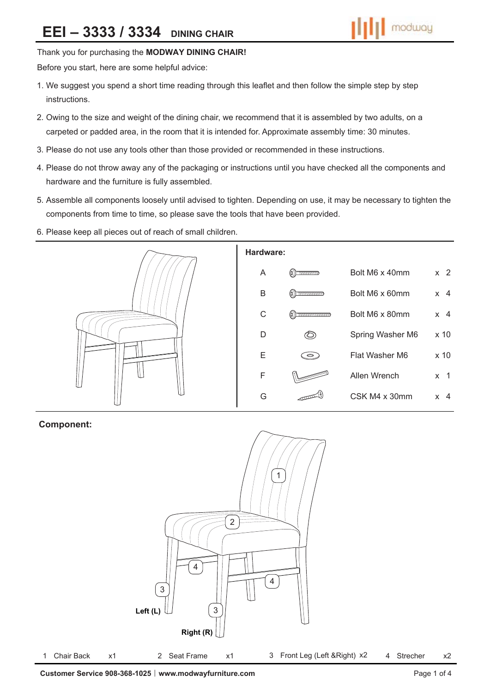# **EEI – 3333 / 3334 DINING CHAIR**



# Thank you for purchasing the **MODWAY DINING CHAIR!**

Before you start, here are some helpful advice:

- 1. We suggest you spend a short time reading through this leaflet and then follow the simple step by step instructions.
- 2. Owing to the size and weight of the dining chair, we recommend that it is assembled by two adults, on a carpeted or padded area, in the room that it is intended for. Approximate assembly time: 30 minutes.
- 3. Please do not use any tools other than those provided or recommended in these instructions.
- 4. Please do not throw away any of the packaging or instructions until you have checked all the components and hardware and the furniture is fully assembled.
- 5. Assemble all components loosely until advised to tighten. Depending on use, it may be necessary to tighten the components from time to time, so please save the tools that have been provided.



6. Please keep all pieces out of reach of small children.



# **Component:**

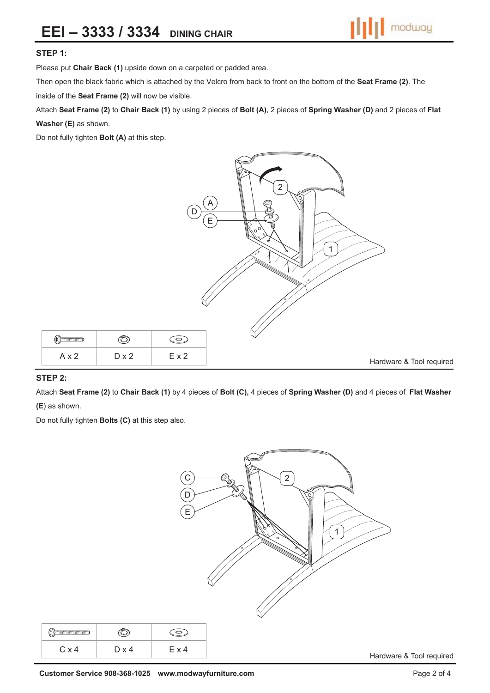#### **STEP 1:**

Please put **Chair Back (1)** upside down on a carpeted or padded area.

Then open the black fabric which is attached by the Velcro from back to front on the bottom of the **Seat Frame (2)**. The inside of the **Seat Frame (2)** will now be visible.

Attach **Seat Frame (2)** to **Chair Back (1)** by using 2 pieces of **Bolt (A)**, 2 pieces of **Spring Washer (D)** and 2 pieces of **Flat Washer (E)** as shown.

Do not fully tighten **Bolt (A)** at this step.



#### **STEP 2:**

Attach **Seat Frame (2)** to **Chair Back (1)** by 4 pieces of **Bolt (C),** 4 pieces of **Spring Washer (D)** and 4 pieces of **Flat Washer** 

**(E**) as shown.

 $\circledcirc$ 

Do not fully tighten **Bolts (C)** at this step also.

 $\circledcirc$ 



| ` x 4 | x 4 |  |
|-------|-----|--|

Hardware & Tool required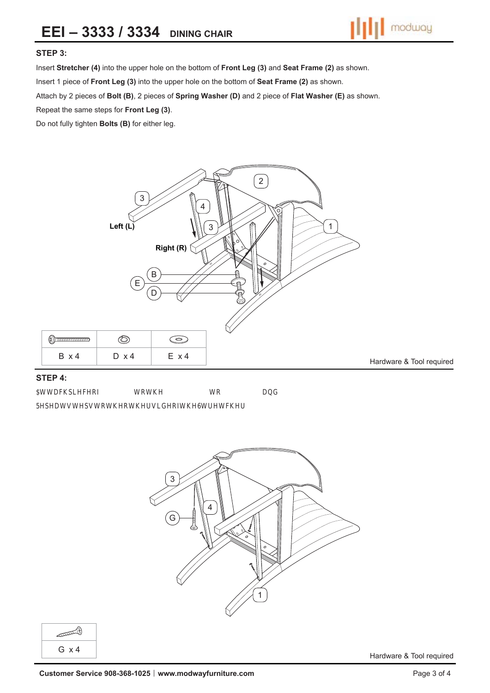

#### **STEP 3:**

Insert **Stretcher (4)** into the upper hole on the bottom of **Front Leg (3)** and **Seat Frame (2)** as shown.

Insert 1 piece of **Front Leg (3)** into the upper hole on the bottom of **Seat Frame (2)** as shown.

Attach by 2 pieces of **Bolt (B)**, 2 pieces of **Spring Washer (D)** and 2 piece of **Flat Washer (E)** as shown.

Repeat the same steps for **Front Leg (3)**.

Do not fully tighten **Bolts (B)** for either leg.



# **STEP 4:**

**WWDFKSLHFHRCSK M4 (G) to the Stretcher (4) to Chair Back (1) anX Front Leg (3)<sup>\*</sup>** 

Fedeat gtedg to the other giXe o<sub>Z</sub> the Stretcher'



|  | ÷х<br>4 |  |
|--|---------|--|

 $\sim$ 

Hardware & Tool required